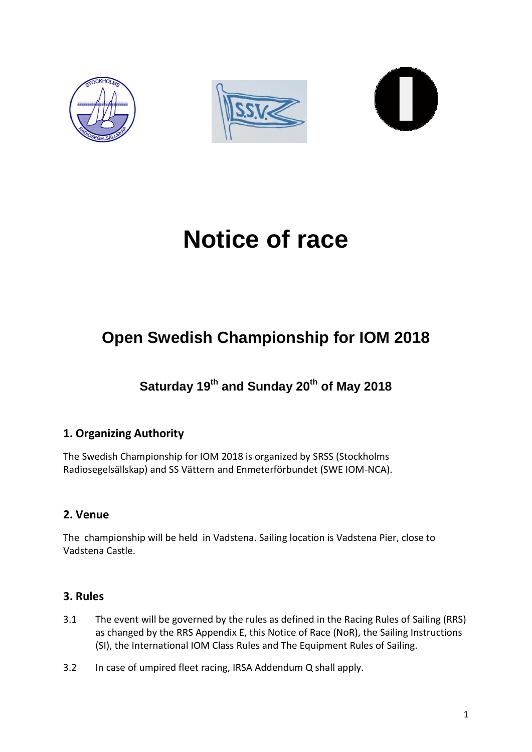





# **Notice of race**

# **Open Swedish Championship for IOM 2018**

**Saturday 19th and Sunday 20 th of May 2018**

# **1. Organizing Authority**

The Swedish Championship for IOM 2018 is organized by SRSS (Stockholms Radiosegelsällskap) and SS Vättern and Enmeterförbundet (SWE IOM-NCA).

# **2. Venue**

The championship will be held in Vadstena. Sailing location is Vadstena Pier, close to Vadstena Castle.

# **3. Rules**

- 3.1 The event will be governed by the rules as defined in the Racing Rules of Sailing (RRS) as changed by the RRS Appendix E, this Notice of Race (NoR), the Sailing Instructions (SI), the International IOM Class Rules and The Equipment Rules of Sailing.
- 3.2 In case of umpired fleet racing, IRSA Addendum Q shall apply.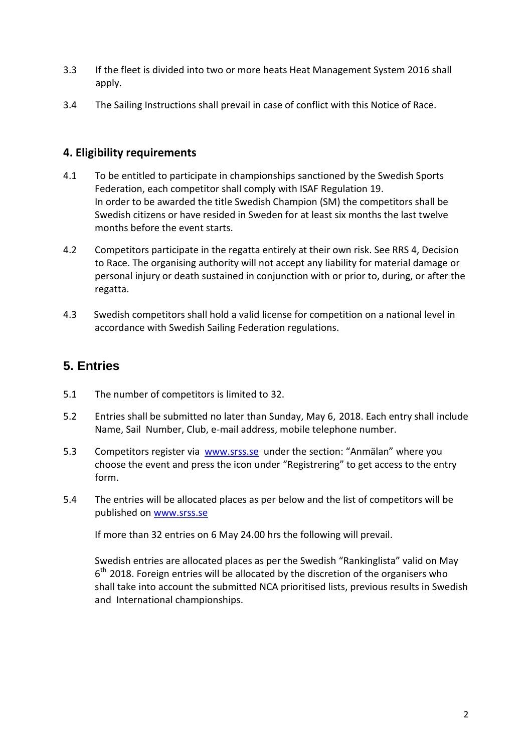- 3.3 If the fleet is divided into two or more heats Heat Management System 2016 shall apply.
- 3.4 The Sailing Instructions shall prevail in case of conflict with this Notice of Race.

# **4. Eligibility requirements**

- 4.1 To be entitled to participate in championships sanctioned by the Swedish Sports Federation, each competitor shall comply with ISAF Regulation 19. In order to be awarded the title Swedish Champion (SM) the competitors shall be Swedish citizens or have resided in Sweden for at least six months the last twelve months before the event starts.
- 4.2 Competitors participate in the regatta entirely at their own risk. See RRS 4, Decision to Race. The organising authority will not accept any liability for material damage or personal injury or death sustained in conjunction with or prior to, during, or after the regatta.
- 4.3 Swedish competitors shall hold a valid license for competition on a national level in accordance with Swedish Sailing Federation regulations.

# **5. Entries**

- 5.1 The number of competitors is limited to 32.
- 5.2 Entries shall be submitted no later than Sunday, May 6, 2018. Each entry shall include Name, Sail Number, Club, e-mail address, mobile telephone number.
- 5.3 Competitors register via [www.srss.se](http://www.srss.se/) under the section: "Anmälan" where you choose the event and press the icon under "Registrering" to get access to the entry form.
- 5.4 The entries will be allocated places as per below and the list of competitors will be published on [www.srss.se](http://www.srss.se/)

If more than 32 entries on 6 May 24.00 hrs the following will prevail.

Swedish entries are allocated places as per the Swedish "Rankinglista" valid on May  $6<sup>th</sup>$  2018. Foreign entries will be allocated by the discretion of the organisers who shall take into account the submitted NCA prioritised lists, previous results in Swedish and International championships.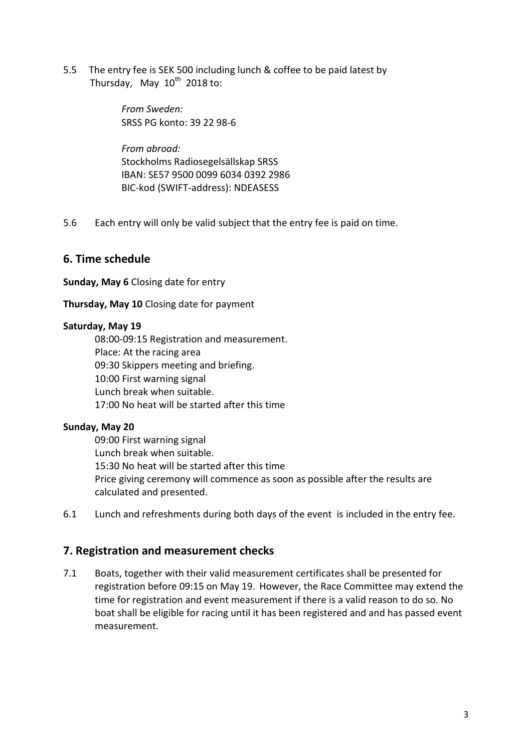5.5 The entry fee is SEK 500 including lunch & coffee to be paid latest by Thursday, May  $10^{th}$  2018 to:

> *From Sweden:* SRSS PG konto: 39 22 98-6

*From abroad:* Stockholms Radiosegelsällskap SRSS IBAN: SE57 9500 0099 6034 0392 2986 BIC-kod (SWIFT-address): NDEASESS

5.6 Each entry will only be valid subject that the entry fee is paid on time.

### **6. Time schedule**

**Sunday, May 6** Closing date for entry

**Thursday, May 10** Closing date for payment

#### **Saturday, May 19**

08:00-09:15 Registration and measurement. Place: At the racing area 09:30 Skippers meeting and briefing. 10:00 First warning signal Lunch break when suitable. 17:00 No heat will be started after this time

#### **Sunday, May 20**

09:00 First warning signal Lunch break when suitable. 15:30 No heat will be started after this time Price giving ceremony will commence as soon as possible after the results are calculated and presented.

6.1 Lunch and refreshments during both days of the event is included in the entry fee.

#### **7. Registration and measurement checks**

7.1 Boats, together with their valid measurement certificates shall be presented for registration before 09:15 on May 19. However, the Race Committee may extend the time for registration and event measurement if there is a valid reason to do so. No boat shall be eligible for racing until it has been registered and and has passed event measurement.